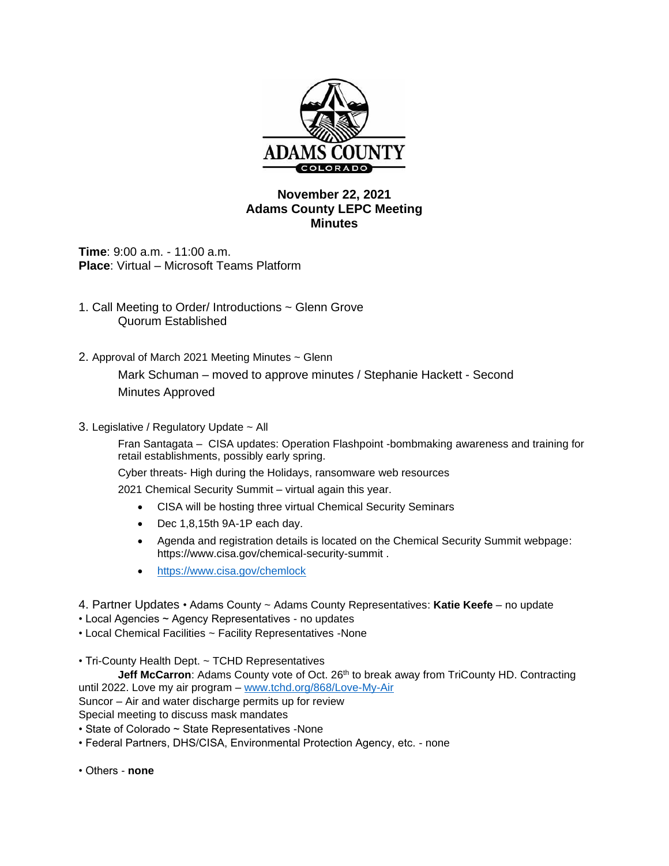

## **November 22, 2021 Adams County LEPC Meeting Minutes**

**Time**: 9:00 a.m. - 11:00 a.m. **Place**: Virtual – Microsoft Teams Platform

- 1. Call Meeting to Order/ Introductions ~ Glenn Grove Quorum Established
- 2. Approval of March 2021 Meeting Minutes ~ Glenn Mark Schuman – moved to approve minutes / Stephanie Hackett - Second Minutes Approved
- 3. Legislative / Regulatory Update ~ All

Fran Santagata – CISA updates: Operation Flashpoint -bombmaking awareness and training for retail establishments, possibly early spring.

Cyber threats- High during the Holidays, ransomware web resources

2021 Chemical Security Summit – virtual again this year.

- CISA will be hosting three virtual Chemical Security Seminars
- Dec 1,8,15th 9A-1P each day.
- Agenda and registration details is located on the Chemical Security Summit webpage: https://www.cisa.gov/chemical-security-summit .
- <https://www.cisa.gov/chemlock>
- 4. Partner Updates Adams County ~ Adams County Representatives: **Katie Keefe** no update
- Local Agencies ~ Agency Representatives no updates
- Local Chemical Facilities ~ Facility Representatives -None

• Tri-County Health Dept. ~ TCHD Representatives

**Jeff McCarron:** Adams County vote of Oct. 26<sup>th</sup> to break away from TriCounty HD. Contracting until 2022. Love my air program – [www.tchd.org/868/Love-My-Air](http://www.tchd.org/868/Love-My-Air)

Suncor – Air and water discharge permits up for review

Special meeting to discuss mask mandates

- State of Colorado ~ State Representatives -None
- Federal Partners, DHS/CISA, Environmental Protection Agency, etc. none
- Others **none**